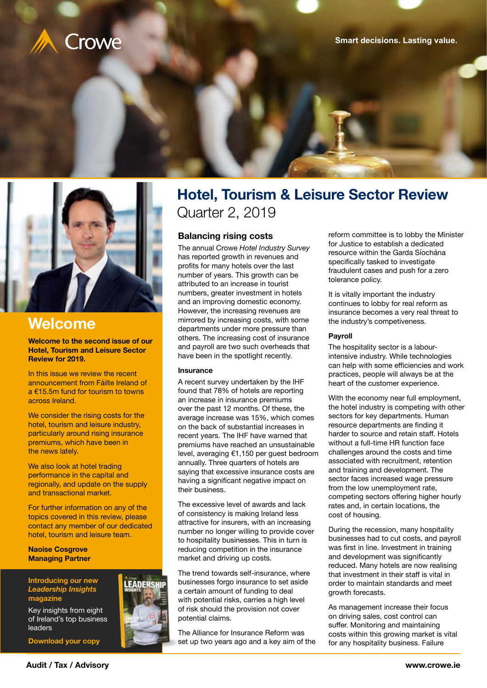

**[Smart decisions. Lasting value.](http://crowe.ie)**



## **Welcome**

**Welcome to the second issue of our Hotel, Tourism and Leisure Sector Review for 2019.**

In this issue we review the recent announcement from Fáilte Ireland of a €15.5m fund for tourism to towns across Ireland.

We consider the rising costs for the hotel, tourism and leisure industry, particularly around rising insurance premiums, which have been in the news lately.

We also look at hotel trading performance in the capital and regionally, and update on the supply and transactional market.

For further information on any of the topics covered in this review, please contact any member of our dedicated [hotel, tourism and leisure team.](http://www.crowe.ie/our-sectors/hotels-tourism-and-leisure/)

**Naoise Cosgrove Managing Partner**

#### **Introducing our new**  *Leadership Insights*  **magazine**

Key insights from eight [of Ireland's top business](http://www.crowe.ie/wp-content/uploads/2019/05/Leadership-Insights-WEB.pdf)  leaders

**Download your copy**

# Hotel, Tourism & Leisure Sector Review Quarter 2, 2019

## **Balancing rising costs**

The annual Crowe *Hotel Industry Survey* has reported growth in revenues and profits for many hotels over the last number of years. This growth can be attributed to an increase in tourist numbers, greater investment in hotels and an improving domestic economy. However, the increasing revenues are mirrored by increasing costs, with some departments under more pressure than others. The increasing cost of insurance and payroll are two such overheads that have been in the spotlight recently.

#### **Insurance**

A recent survey undertaken by the IHF found that 78% of hotels are reporting an increase in insurance premiums over the past 12 months. Of these, the average increase was 15%, which comes on the back of substantial increases in recent years. The IHF have warned that premiums have reached an unsustainable level, averaging €1,150 per guest bedroom annually. Three quarters of hotels are saying that excessive insurance costs are having a significant negative impact on their business.

The excessive level of awards and lack of consistency is making Ireland less attractive for insurers, with an increasing number no longer willing to provide cover to hospitality businesses. This in turn is reducing competition in the insurance market and driving up costs.

The trend towards self-insurance, where businesses forgo insurance to set aside a certain amount of funding to deal with potential risks, carries a high level of risk should the provision not cover potential claims.

The Alliance for Insurance Reform was set up two years ago and a key aim of the reform committee is to lobby the Minister for Justice to establish a dedicated resource within the Garda Síochána specifically tasked to investigate fraudulent cases and push for a zero tolerance policy.

It is vitally important the industry continues to lobby for real reform as insurance becomes a very real threat to the industry's competiveness.

#### **Payroll**

The hospitality sector is a labourintensive industry. While technologies can help with some efficiencies and work practices, people will always be at the heart of the customer experience.

With the economy near full employment, the hotel industry is competing with other sectors for key departments. Human resource departments are finding it harder to source and retain staff. Hotels without a full-time HR function face challenges around the costs and time associated with recruitment, retention and training and development. The sector faces increased wage pressure from the low unemployment rate, competing sectors offering higher hourly rates and, in certain locations, the cost of housing.

During the recession, many hospitality businesses had to cut costs, and payroll was first in line. Investment in training and development was significantly reduced. Many hotels are now realising that investment in their staff is vital in order to maintain standards and meet growth forecasts.

As management increase their focus on driving sales, cost control can suffer. Monitoring and maintaining costs within this growing market is vital for any hospitality business. Failure



**EADERSHIP**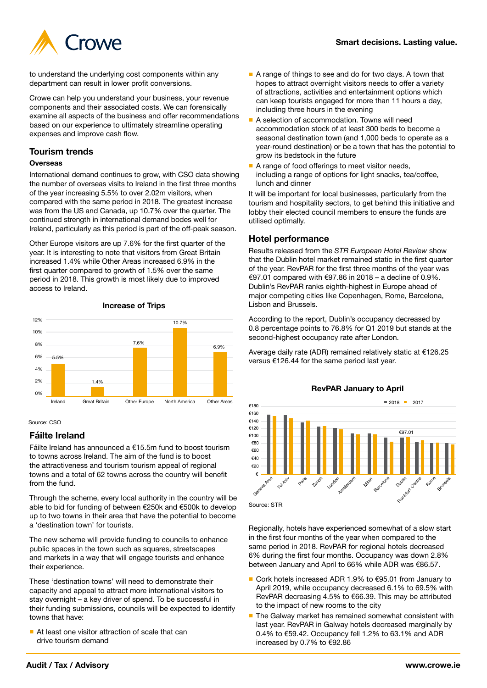

to understand the underlying cost components within any department can result in lower profit conversions.

Crowe can help you understand your business, your revenue components and their associated costs. We can forensically examine all aspects of the business and offer recommendations based on our experience to ultimately streamline operating expenses and improve cash flow.

## **Tourism trends**

#### **Overseas**

International demand continues to grow, with CSO data showing the number of overseas visits to Ireland in the first three months of the year increasing 5.5% to over 2.02m visitors, when compared with the same period in 2018. The greatest increase was from the US and Canada, up 10.7% over the quarter. The continued strength in international demand bodes well for Ireland, particularly as this period is part of the off-peak season.

Other Europe visitors are up 7.6% for the first quarter of the year. It is interesting to note that visitors from Great Britain increased 1.4% while Other Areas increased 6.9% in the first quarter compared to growth of 1.5% over the same period in 2018. This growth is most likely due to improved access to Ireland.



#### **Increase of Trips**

#### Source: CSO

## **Fáilte Ireland**

Fáilte Ireland has announced a €15.5m fund to boost tourism to towns across Ireland. The aim of the fund is to boost the attractiveness and tourism tourism appeal of regional towns and a total of 62 towns across the country will benefit from the fund.

Through the scheme, every local authority in the country will be able to bid for funding of between €250k and €500k to develop up to two towns in their area that have the potential to become a 'destination town' for tourists.

The new scheme will provide funding to councils to enhance public spaces in the town such as squares, streetscapes and markets in a way that will engage tourists and enhance their experience.

These 'destination towns' will need to demonstrate their capacity and appeal to attract more international visitors to stay overnight – a key driver of spend. To be successful in their funding submissions, councils will be expected to identify towns that have:

■ At least one visitor attraction of scale that can drive tourism demand

- A range of things to see and do for two days. A town that hopes to attract overnight visitors needs to offer a variety of attractions, activities and entertainment options which can keep tourists engaged for more than 11 hours a day, including three hours in the evening
- A selection of accommodation. Towns will need accommodation stock of at least 300 beds to become a seasonal destination town (and 1,000 beds to operate as a year-round destination) or be a town that has the potential to grow its bedstock in the future
- A range of food offerings to meet visitor needs, including a range of options for light snacks, tea/coffee, lunch and dinner

It will be important for local businesses, particularly from the tourism and hospitality sectors, to get behind this initiative and lobby their elected council members to ensure the funds are utilised optimally.

## **Hotel performance**

Results released from the *STR European Hotel Review* show that the Dublin hotel market remained static in the first quarter of the year. RevPAR for the first three months of the year was €97.01 compared with €97.86 in 2018 – a decline of 0.9%. Dublin's RevPAR ranks eighth-highest in Europe ahead of major competing cities like Copenhagen, Rome, Barcelona, Lisbon and Brussels.

According to the report, Dublin's occupancy decreased by 0.8 percentage points to 76.8% for Q1 2019 but stands at the second-highest occupancy rate after London.

Average daily rate (ADR) remained relatively static at €126.25 versus €126.44 for the same period last year.



**RevPAR January to April**

Regionally, hotels have experienced somewhat of a slow start in the first four months of the year when compared to the same period in 2018. RevPAR for regional hotels decreased 6% during the first four months. Occupancy was down 2.8% between January and April to 66% while ADR was €86.57.

- Cork hotels increased ADR 1.9% to €95.01 from January to April 2019, while occupancy decreased 6.1% to 69.5% with RevPAR decreasing 4.5% to €66.39. This may be attributed to the impact of new rooms to the city
- The Galway market has remained somewhat consistent with last year. RevPAR in Galway hotels decreased marginally by 0.4% to €59.42. Occupancy fell 1.2% to 63.1% and ADR increased by 0.7% to €92.86